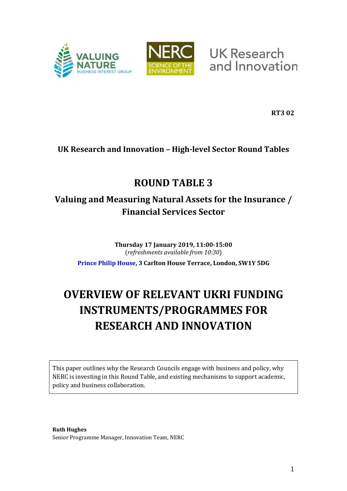



**UK Research** and Innovation

**RT3 02**

## **UK Research and Innovation – High-level Sector Round Tables**

# **ROUND TABLE 3**

## **Valuing and Measuring Natural Assets for the Insurance / Financial Services Sector**

**Thursday 17 January 2019, 11:00-15:00** (*refreshments available from 10:30*)

**[Prince Philip House,](https://www.princephiliphouse.com/) 3 Carlton House Terrace, London, SW1Y 5DG**

# **OVERVIEW OF RELEVANT UKRI FUNDING INSTRUMENTS/PROGRAMMES FOR RESEARCH AND INNOVATION**

This paper outlines why the Research Councils engage with business and policy, why NERC is investing in this Round Table, and existing mechanisms to support academic, policy and business collaboration.

**Ruth Hughes** Senior Programme Manager, Innovation Team, NERC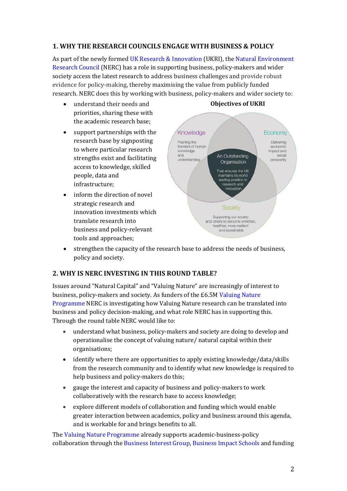#### **1. WHY THE RESEARCH COUNCILS ENGAGE WITH BUSINESS & POLICY**

As part of the newly formed [UK Research & Innovation](https://www.ukri.org/) (UKRI), the [Natural Environment](https://nerc.ukri.org/innovation)  [Research Council](https://nerc.ukri.org/innovation) (NERC) has a role in supporting business, policy-makers and wider society access the latest research to address business challenges and provide robust evidence for policy-making, thereby maximising the value from publicly funded research. NERC does this by working with business, policy-makers and wider society to:

- understand their needs and priorities, sharing these with the academic research base;
- support partnerships with the research base by signposting to where particular research strengths exist and facilitating access to knowledge, skilled people, data and infrastructure;
- inform the direction of novel strategic research and innovation investments which translate research into business and policy-relevant tools and approaches;



### **Objectives of UKRI**

• strengthen the capacity of the research base to address the needs of business, policy and society.

#### **2. WHY IS NERC INVESTING IN THIS ROUND TABLE?**

Issues around "Natural Capital" and "Valuing Nature" are increasingly of interest to business, policy-makers and society. As funders of the £6.5M [Valuing Nature](https://nerc.ukri.org/research/funded/programmes/valuingnature/)  [Programme](https://nerc.ukri.org/research/funded/programmes/valuingnature/) NERC is investigating how Valuing Nature research can be translated into business and policy decision-making, and what role NERC has in supporting this. Through the round table NERC would like to:

- understand what business, policy-makers and society are doing to develop and operationalise the concept of valuing nature/ natural capital within their organisations;
- identify where there are opportunities to apply existing knowledge/data/skills from the research community and to identify what new knowledge is required to help business and policy-makers do this;
- gauge the interest and capacity of business and policy-makers to work collaboratively with the research base to access knowledge;
- explore different models of collaboration and funding which would enable greater interaction between academics, policy and business around this agenda, and is workable for and brings benefits to all.

Th[e Valuing Nature Programme](http://valuing-nature.net/) already supports academic-business-policy collaboration through the [Business Interest Group,](http://valuing-nature.net/business-interest-group) [Business Impact Schools](http://valuing-nature.net/valuing-nature-business-impact-schools) and funding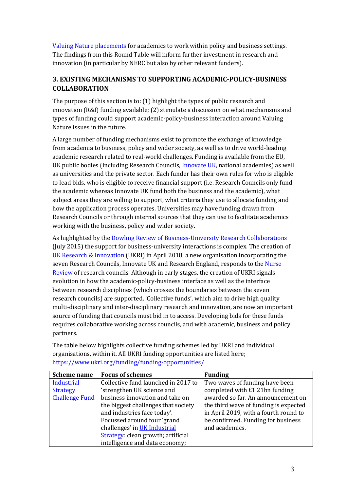[Valuing Nature placements](http://valuing-nature.net/valuing-nature-placements-round-3-november-2017-march-2018) for academics to work within policy and business settings. The findings from this Round Table will inform further investment in research and innovation (in particular by NERC but also by other relevant funders).

#### **3. EXISTING MECHANISMS TO SUPPORTING ACADEMIC-POLICY-BUSINESS COLLABORATION**

The purpose of this section is to: (1) highlight the types of public research and innovation (R&I) funding available; (2) stimulate a discussion on what mechanisms and types of funding could support academic-policy-business interaction around Valuing Nature issues in the future.

A large number of funding mechanisms exist to promote the exchange of knowledge from academia to business, policy and wider society, as well as to drive world-leading academic research related to real-world challenges. Funding is available from the EU, UK public bodies (including Research Councils, [Innovate](https://www.gov.uk/guidance/innovation-apply-for-a-funding-award) UK, national academies) as well as universities and the private sector. Each funder has their own rules for who is eligible to lead bids, who is eligible to receive financial support (i.e. Research Councils only fund the academic whereas Innovate UK fund both the business and the academic), what subject areas they are willing to support, what criteria they use to allocate funding and how the application process operates. Universities may have funding drawn from Research Councils or through internal sources that they can use to facilitate academics working with the business, policy and wider society.

As highlighted by the [Dowling Review of Business-University Research Collaborations](https://www.gov.uk/government/publications/business-university-research-collaborations-dowling-review-final-report) (July 2015) the support for business-university interactions is complex. The creation of [UK Research & Innovation](https://www.ukri.org/) (UKRI) in April 2018, a new organisation incorporating the seven Research Councils, Innovate UK and Research England, responds to the Nurse [Review](https://www.gov.uk/government/publications/nurse-review-of-research-councils-recommendations) of research councils. Although in early stages, the creation of UKRI signals evolution in how the academic-policy-business interface as well as the interface between research disciplines (which crosses the boundaries between the seven research councils) are supported. 'Collective funds', which aim to drive high quality multi-disciplinary and inter-disciplinary research and innovation, are now an important source of funding that councils must bid in to access. Developing bids for these funds requires collaborative working across councils, and with academic, business and policy partners.

The table below highlights collective funding schemes led by UKRI and individual organisations, within it. All UKRI funding opportunities are listed here; <https://www.ukri.org/funding/funding-opportunities/>

| <b>Scheme name</b>    | <b>Focus of schemes</b>             | <b>Funding</b>                        |
|-----------------------|-------------------------------------|---------------------------------------|
| <b>Industrial</b>     | Collective fund launched in 2017 to | Two waves of funding have been        |
| <b>Strategy</b>       | 'strengthen UK science and          | completed with £1.21bn funding        |
| <b>Challenge Fund</b> | business innovation and take on     | awarded so far. An announcement on    |
|                       | the biggest challenges that society | the third wave of funding is expected |
|                       | and industries face today'.         | in April 2019, with a fourth round to |
|                       | Focussed around four 'grand         | be confirmed. Funding for business    |
|                       | challenges' in UK Industrial        | and academics.                        |
|                       | Strategy: clean growth; artificial  |                                       |
|                       | intelligence and data economy;      |                                       |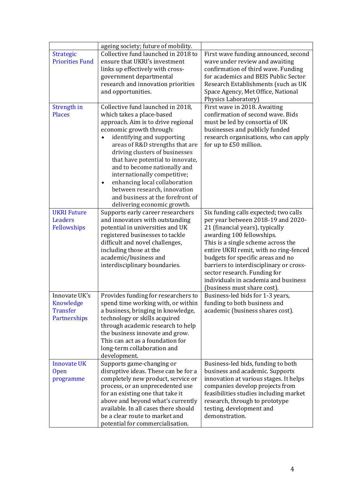|                        | ageing society; future of mobility.        |                                         |
|------------------------|--------------------------------------------|-----------------------------------------|
| <b>Strategic</b>       | Collective fund launched in 2018 to        | First wave funding announced, second    |
| <b>Priorities Fund</b> | ensure that UKRI's investment              | wave under review and awaiting          |
|                        | links up effectively with cross-           | confirmation of third wave. Funding     |
|                        | government departmental                    | for academics and BEIS Public Sector    |
|                        | research and innovation priorities         | Research Establishments (such as UK     |
|                        | and opportunities.                         | Space Agency, Met Office, National      |
|                        |                                            | Physics Laboratory)                     |
| Strength in            | Collective fund launched in 2018,          | First wave in 2018. Awaiting            |
| <b>Places</b>          | which takes a place-based                  | confirmation of second wave. Bids       |
|                        | approach. Aim is to drive regional         | must be led by consortia of UK          |
|                        |                                            |                                         |
|                        | economic growth through:                   | businesses and publicly funded          |
|                        | identifying and supporting                 | research organisations, who can apply   |
|                        | areas of R&D strengths that are            | for up to £50 million.                  |
|                        | driving clusters of businesses             |                                         |
|                        | that have potential to innovate,           |                                         |
|                        | and to become nationally and               |                                         |
|                        | internationally competitive;               |                                         |
|                        | enhancing local collaboration<br>$\bullet$ |                                         |
|                        | between research, innovation               |                                         |
|                        | and business at the forefront of           |                                         |
|                        | delivering economic growth.                |                                         |
| <b>UKRI Future</b>     | Supports early career researchers          | Six funding calls expected; two calls   |
| <b>Leaders</b>         | and innovators with outstanding            | per year between 2018-19 and 2020-      |
| Fellowships            | potential in universities and UK           | 21 (financial years), typically         |
|                        | registered businesses to tackle            | awarding 100 fellowships.               |
|                        | difficult and novel challenges,            | This is a single scheme across the      |
|                        | including those at the                     | entire UKRI remit, with no ring-fenced  |
|                        | academic/business and                      | budgets for specific areas and no       |
|                        | interdisciplinary boundaries.              | barriers to interdisciplinary or cross- |
|                        |                                            | sector research. Funding for            |
|                        |                                            | individuals in academia and business    |
|                        |                                            | (business must share cost).             |
| Innovate UK's          | Provides funding for researchers to        | Business-led bids for 1-3 years,        |
| Knowledge              | spend time working with, or within         | funding to both business and            |
| <b>Transfer</b>        | a business, bringing in knowledge,         | academic (business shares cost).        |
| Partnerships           | technology or skills acquired              |                                         |
|                        | through academic research to help          |                                         |
|                        | the business innovate and grow.            |                                         |
|                        | This can act as a foundation for           |                                         |
|                        | long-term collaboration and                |                                         |
|                        | development.                               |                                         |
| <b>Innovate UK</b>     | Supports game-changing or                  | Business-led bids, funding to both      |
| <b>Open</b>            | disruptive ideas. These can be for a       | business and academic. Supports         |
| programme              | completely new product, service or         | innovation at various stages. It helps  |
|                        | process, or an unprecedented use           | companies develop projects from         |
|                        | for an existing one that take it           | feasibilities studies including market  |
|                        | above and beyond what's currently          | research, through to prototype          |
|                        | available. In all cases there should       | testing, development and                |
|                        | be a clear route to market and             | demonstration.                          |
|                        | potential for commercialisation.           |                                         |